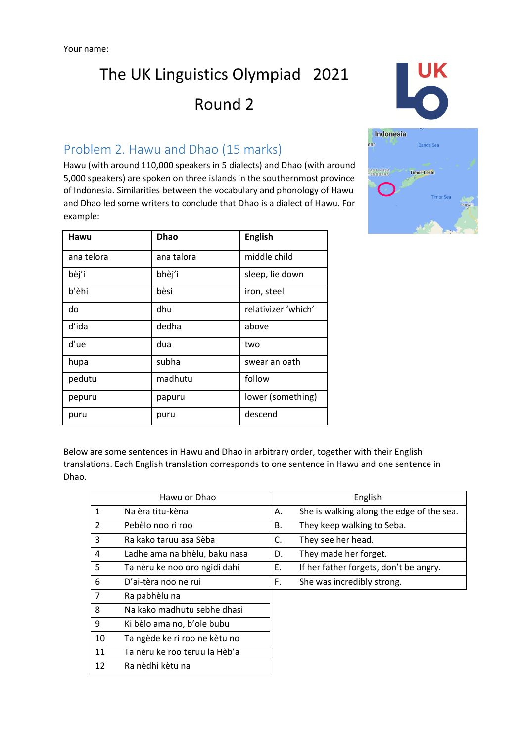

Hawu (with around 110,000 speakers in 5 dialects) and Dhao (with around 5,000 speakers) are spoken on three islands in the southernmost province of Indonesia. Similarities between the vocabulary and phonology of Hawu and Dhao led some writers to conclude that Dhao is a dialect of Hawu. For example:

| Hawu       | <b>Dhao</b>                 | <b>English</b>      |  |
|------------|-----------------------------|---------------------|--|
| ana telora | ana talora                  | middle child        |  |
| bèj'i      | bhèj'i                      | sleep, lie down     |  |
| b'èhi      | bèsi                        | iron, steel         |  |
| do         | dhu                         | relativizer 'which' |  |
| d'ida      | dedha                       | above               |  |
| d'ue       | dua                         | two                 |  |
| hupa       | subha                       | swear an oath       |  |
| pedutu     | madhutu                     | follow              |  |
| pepuru     | lower (something)<br>papuru |                     |  |
| puru       | puru                        | descend             |  |



Below are some sentences in Hawu and Dhao in arbitrary order, together with their English translations. Each English translation corresponds to one sentence in Hawu and one sentence in Dhao.

|               | Hawu or Dhao                  |    | English                                   |
|---------------|-------------------------------|----|-------------------------------------------|
| 1             | Na èra titu-kèna              | А. | She is walking along the edge of the sea. |
| $\mathcal{L}$ | Pebèlo noo ri roo             | В. | They keep walking to Seba.                |
| 3             | Ra kako taruu asa Sèba        | C. | They see her head.                        |
| 4             | Ladhe ama na bhèlu, baku nasa | D. | They made her forget.                     |
| 5             | Ta nèru ke noo oro ngidi dahi | Ε. | If her father forgets, don't be angry.    |
| 6             | D'ai-tèra noo ne rui          | F. | She was incredibly strong.                |
| 7             | Ra pabhèlu na                 |    |                                           |
| 8             | Na kako madhutu sebhe dhasi   |    |                                           |
| 9             | Ki bèlo ama no, b'ole bubu    |    |                                           |
| 10            | Ta ngède ke ri roo ne kètu no |    |                                           |
| 11            | Ta nèru ke roo teruu la Hèb'a |    |                                           |
| 12            | Ra nèdhi kètu na              |    |                                           |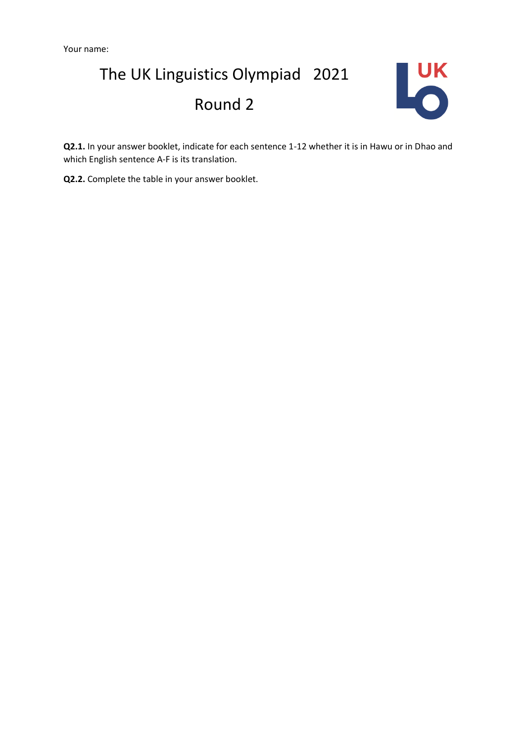

**Q2.1.** In your answer booklet, indicate for each sentence 1-12 whether it is in Hawu or in Dhao and which English sentence A-F is its translation.

**Q2.2.** Complete the table in your answer booklet.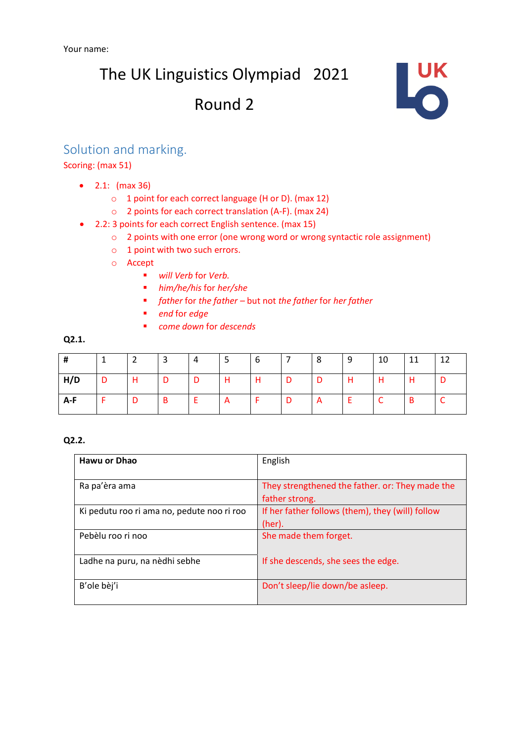The UK Linguistics Olympiad 2021

### Round 2



#### Solution and marking.

#### Scoring: (max 51)

- 2.1: (max 36)
	- o 1 point for each correct language (H or D). (max 12)
	- o 2 points for each correct translation (A-F). (max 24)
- 2.2: 3 points for each correct English sentence. (max 15)
	- o 2 points with one error (one wrong word or wrong syntactic role assignment)
	- o 1 point with two such errors.
	- o Accept
		- *will Verb* for *Verb.*
			- *him/he/his* for *her/she*
			- *father* for *the father –* but not *the father* for *her father*
		- *end* for *edge*
		- *come down* for *descends*

#### **Q2.1.**

| #   |                | ຳ<br>▴ | 3 | 4 | 5 | -6 |     | 8 | 9 | 10         | 11 | 12 |
|-----|----------------|--------|---|---|---|----|-----|---|---|------------|----|----|
| H/D | $\overline{D}$ | H      | D | D | Н | H  | - D | D | Н | H          | H  | D  |
| A-F | t Fi           | D      | B |   | A |    |     | A |   | $\sqrt{ }$ | B  |    |

#### **Q2.2.**

| Hawu or Dhao                               | English                                          |  |
|--------------------------------------------|--------------------------------------------------|--|
|                                            |                                                  |  |
| Ra pa'èra ama                              | They strengthened the father. or: They made the  |  |
|                                            | father strong.                                   |  |
| Ki pedutu roo ri ama no, pedute noo ri roo | If her father follows (them), they (will) follow |  |
|                                            | (her).                                           |  |
| Pebèlu roo ri noo                          | She made them forget.                            |  |
|                                            |                                                  |  |
| Ladhe na puru, na nèdhi sebhe              | If she descends, she sees the edge.              |  |
|                                            |                                                  |  |
| B'ole bèj'i                                | Don't sleep/lie down/be asleep.                  |  |
|                                            |                                                  |  |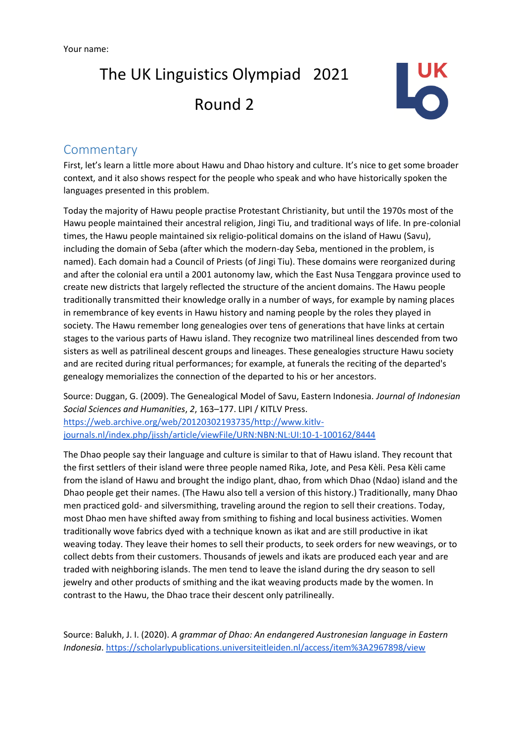

#### **Commentary**

First, let's learn a little more about Hawu and Dhao history and culture. It's nice to get some broader context, and it also shows respect for the people who speak and who have historically spoken the languages presented in this problem.

Today the majority of Hawu people practise Protestant Christianity, but until the 1970s most of the Hawu people maintained their ancestral religion, Jingi Tiu, and traditional ways of life. In pre-colonial times, the Hawu people maintained six religio-political domains on the island of Hawu (Savu), including the domain of Seba (after which the modern-day Seba, mentioned in the problem, is named). Each domain had a Council of Priests (of Jingi Tiu). These domains were reorganized during and after the colonial era until a 2001 autonomy law, which the East Nusa Tenggara province used to create new districts that largely reflected the structure of the ancient domains. The Hawu people traditionally transmitted their knowledge orally in a number of ways, for example by naming places in remembrance of key events in Hawu history and naming people by the roles they played in society. The Hawu remember long genealogies over tens of generations that have links at certain stages to the various parts of Hawu island. They recognize two matrilineal lines descended from two sisters as well as patrilineal descent groups and lineages. These genealogies structure Hawu society and are recited during ritual performances; for example, at funerals the reciting of the departed's genealogy memorializes the connection of the departed to his or her ancestors.

Source: Duggan, G. (2009). The Genealogical Model of Savu, Eastern Indonesia. *Journal of Indonesian Social Sciences and Humanities*, *2*, 163–177. LIPI / KITLV Press. [https://web.archive.org/web/20120302193735/http://www.kitlv](https://web.archive.org/web/20120302193735/http:/www.kitlv-journals.nl/index.php/jissh/article/viewFile/URN:NBN:NL:UI:10-1-100162/8444)[journals.nl/index.php/jissh/article/viewFile/URN:NBN:NL:UI:10-1-100162/8444](https://web.archive.org/web/20120302193735/http:/www.kitlv-journals.nl/index.php/jissh/article/viewFile/URN:NBN:NL:UI:10-1-100162/8444)

The Dhao people say their language and culture is similar to that of Hawu island. They recount that the first settlers of their island were three people named Rika, Jote, and Pesa Kèli. Pesa Kèli came from the island of Hawu and brought the indigo plant, dhao, from which Dhao (Ndao) island and the Dhao people get their names. (The Hawu also tell a version of this history.) Traditionally, many Dhao men practiced gold- and silversmithing, traveling around the region to sell their creations. Today, most Dhao men have shifted away from smithing to fishing and local business activities. Women traditionally wove fabrics dyed with a technique known as ikat and are still productive in ikat weaving today. They leave their homes to sell their products, to seek orders for new weavings, or to collect debts from their customers. Thousands of jewels and ikats are produced each year and are traded with neighboring islands. The men tend to leave the island during the dry season to sell jewelry and other products of smithing and the ikat weaving products made by the women. In contrast to the Hawu, the Dhao trace their descent only patrilineally.

Source: Balukh, J. I. (2020). *A grammar of Dhao: An endangered Austronesian language in Eastern Indonesia*.<https://scholarlypublications.universiteitleiden.nl/access/item%3A2967898/view>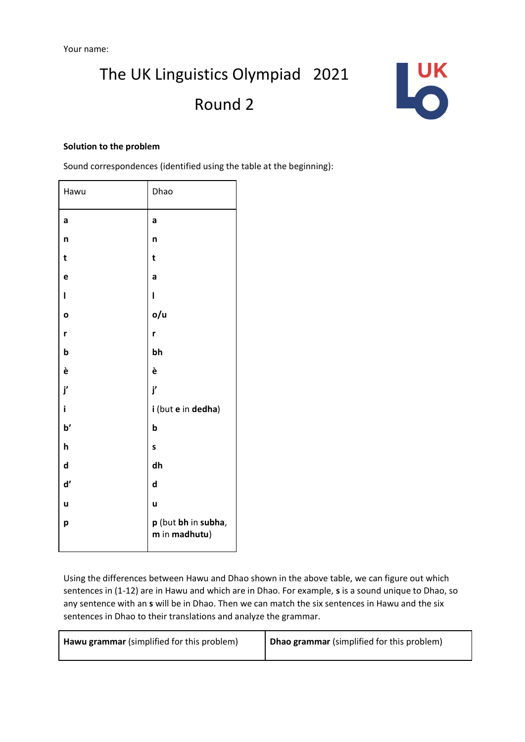

#### **Solution to the problem**

Sound correspondences (identified using the table at the beginning):

| Hawu          | Dhao                                 |
|---------------|--------------------------------------|
| a             | a                                    |
| n             | n                                    |
| t             | t                                    |
| e             | a                                    |
| ı             | ı                                    |
| O             | o/u                                  |
| r             | r                                    |
| $\mathbf b$   | bh                                   |
| è             | è                                    |
| j'            | j'                                   |
| i             | i (but e in dedha)                   |
| $\mathbf{b}'$ | b                                    |
| h             | S                                    |
| $\mathbf d$   | dh                                   |
| ď             | d                                    |
| u             | ū                                    |
| р             | p (but bh in subha,<br>m in madhutu) |

Using the differences between Hawu and Dhao shown in the above table, we can figure out which sentences in (1-12) are in Hawu and which are in Dhao. For example, **s** is a sound unique to Dhao, so any sentence with an **s** will be in Dhao. Then we can match the six sentences in Hawu and the six sentences in Dhao to their translations and analyze the grammar.

| Hawu grammar (simplified for this problem) | Dhao grammar (simplified for this problem) |
|--------------------------------------------|--------------------------------------------|
|                                            |                                            |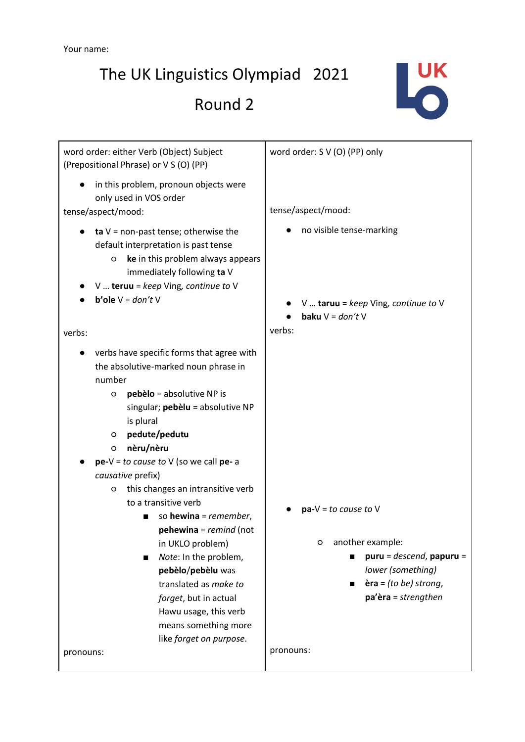The UK Linguistics Olympiad 2021

Round 2



| word order: either Verb (Object) Subject<br>(Prepositional Phrase) or V S (O) (PP)                                                                                                                                                                                                                                                                                                                                                                                                                                                                                                                                | word order: S V (O) (PP) only                                                                                                                                  |
|-------------------------------------------------------------------------------------------------------------------------------------------------------------------------------------------------------------------------------------------------------------------------------------------------------------------------------------------------------------------------------------------------------------------------------------------------------------------------------------------------------------------------------------------------------------------------------------------------------------------|----------------------------------------------------------------------------------------------------------------------------------------------------------------|
| in this problem, pronoun objects were<br>only used in VOS order<br>tense/aspect/mood:                                                                                                                                                                                                                                                                                                                                                                                                                                                                                                                             | tense/aspect/mood:                                                                                                                                             |
| ta $V =$ non-past tense; otherwise the<br>default interpretation is past tense<br>ke in this problem always appears<br>O<br>immediately following ta V<br>$V$ teruu = keep Ving, continue to V<br><b>b'ole</b> $V = don'tV$                                                                                                                                                                                                                                                                                                                                                                                       | no visible tense-marking<br>$V$ taruu = keep Ving, continue to V<br>baku $V = don't V$                                                                         |
| verbs:                                                                                                                                                                                                                                                                                                                                                                                                                                                                                                                                                                                                            | verbs:                                                                                                                                                         |
| verbs have specific forms that agree with<br>the absolutive-marked noun phrase in<br>number<br>pebèlo = absolutive NP is<br>O<br>singular; pebèlu = absolutive NP<br>is plural<br>pedute/pedutu<br>O<br>nèru/nèru<br>O<br>$pe-V = to cause to V$ (so we call pe- a<br>causative prefix)<br>this changes an intransitive verb<br>O<br>to a transitive verb<br>so hewina = remember,<br>pehewina = remind (not<br>in UKLO problem)<br>Note: In the problem,<br>▬<br>pebèlo/pebèlu was<br>translated as make to<br>forget, but in actual<br>Hawu usage, this verb<br>means something more<br>like forget on purpose. | $pa-V = to cause to V$<br>another example:<br>O<br>$pure = descend$ , papuru =<br>lower (something)<br>$\textbf{èra} = (to be)$ strong,<br>pa'èra = strengthen |
| pronouns:                                                                                                                                                                                                                                                                                                                                                                                                                                                                                                                                                                                                         | pronouns:                                                                                                                                                      |